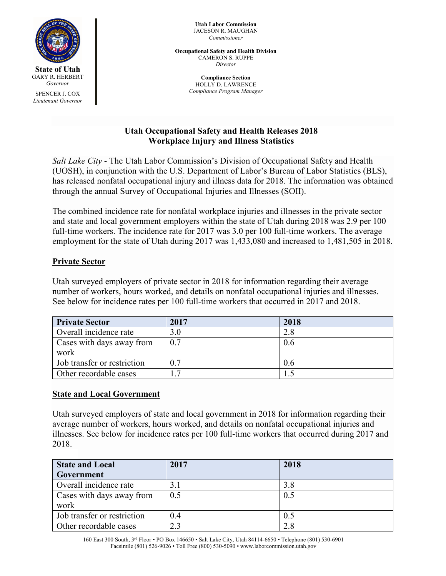

*Lieutenant Governor*

**Utah Labor Commission** JACESON R. MAUGHAN *Commissioner*

**Occupational Safety and Health Division** CAMERON S. RUPPE *Director*

> **Compliance Section** HOLLY D. LAWRENCE *Compliance Program Manager*

# **Utah Occupational Safety and Health Releases 2018 Workplace Injury and Illness Statistics**

*Salt Lake City* - The Utah Labor Commission's Division of Occupational Safety and Health (UOSH), in conjunction with the U.S. Department of Labor's Bureau of Labor Statistics (BLS), has released nonfatal occupational injury and illness data for 2018. The information was obtained through the annual Survey of Occupational Injuries and Illnesses (SOII).

The combined incidence rate for nonfatal workplace injuries and illnesses in the private sector and state and local government employers within the state of Utah during 2018 was 2.9 per 100 full-time workers. The incidence rate for 2017 was 3.0 per 100 full-time workers. The average employment for the state of Utah during 2017 was 1,433,080 and increased to 1,481,505 in 2018.

# **Private Sector**

Utah surveyed employers of private sector in 2018 for information regarding their average number of workers, hours worked, and details on nonfatal occupational injuries and illnesses. See below for incidence rates per 100 full-time workers that occurred in 2017 and 2018.

| <b>Private Sector</b>             | 2017 | 2018 |
|-----------------------------------|------|------|
| Overall incidence rate            | 3.0  | 2.8  |
| Cases with days away from<br>work | 0.7  | 0.6  |
| Job transfer or restriction       | 0.7  | 0.6  |
| Other recordable cases            |      |      |

## **State and Local Government**

Utah surveyed employers of state and local government in 2018 for information regarding their average number of workers, hours worked, and details on nonfatal occupational injuries and illnesses. See below for incidence rates per 100 full-time workers that occurred during 2017 and 2018.

| <b>State and Local</b>      | 2017 | 2018 |
|-----------------------------|------|------|
| Government                  |      |      |
| Overall incidence rate      | 3.1  | 3.8  |
| Cases with days away from   | 0.5  | 0.5  |
| work                        |      |      |
| Job transfer or restriction | 0.4  | 0.5  |
| Other recordable cases      | 2.3  | 2.8  |

 160 East 300 South, 3rd Floor • PO Box 146650 • Salt Lake City, Utah 84114-6650 • Telephone (801) 530-6901 Facsimile (801) 526-9026 • Toll Free (800) 530-5090 • www.laborcommission.utah.gov